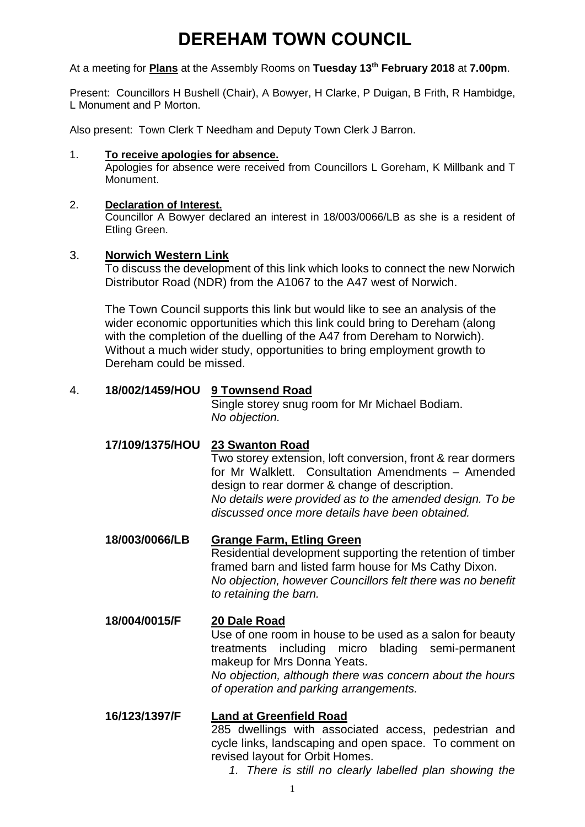# **DEREHAM TOWN COUNCIL**

At a meeting for **Plans** at the Assembly Rooms on **Tuesday 13th February 2018** at **7.00pm**.

Present: Councillors H Bushell (Chair), A Bowyer, H Clarke, P Duigan, B Frith, R Hambidge, L Monument and P Morton.

Also present: Town Clerk T Needham and Deputy Town Clerk J Barron.

#### 1. **To receive apologies for absence.**

Apologies for absence were received from Councillors L Goreham, K Millbank and T Monument.

### 2. **Declaration of Interest.**

Councillor A Bowyer declared an interest in 18/003/0066/LB as she is a resident of Etling Green.

### 3. **Norwich Western Link**

To discuss the development of this link which looks to connect the new Norwich Distributor Road (NDR) from the A1067 to the A47 west of Norwich.

The Town Council supports this link but would like to see an analysis of the wider economic opportunities which this link could bring to Dereham (along with the completion of the duelling of the A47 from Dereham to Norwich). Without a much wider study, opportunities to bring employment growth to Dereham could be missed.

### 4. **18/002/1459/HOU 9 Townsend Road**

Single storey snug room for Mr Michael Bodiam. *No objection.* 

## **17/109/1375/HOU 23 Swanton Road**

Two storey extension, loft conversion, front & rear dormers for Mr Walklett. Consultation Amendments – Amended design to rear dormer & change of description. *No details were provided as to the amended design. To be discussed once more details have been obtained.* 

**18/003/0066/LB Grange Farm, Etling Green** Residential development supporting the retention of timber framed barn and listed farm house for Ms Cathy Dixon. *No objection, however Councillors felt there was no benefit to retaining the barn.* 

# **18/004/0015/F 20 Dale Road**

Use of one room in house to be used as a salon for beauty treatments including micro blading semi-permanent makeup for Mrs Donna Yeats.

*No objection, although there was concern about the hours of operation and parking arrangements.* 

# **16/123/1397/F Land at Greenfield Road**

285 dwellings with associated access, pedestrian and cycle links, landscaping and open space. To comment on revised layout for Orbit Homes.

*1. There is still no clearly labelled plan showing the*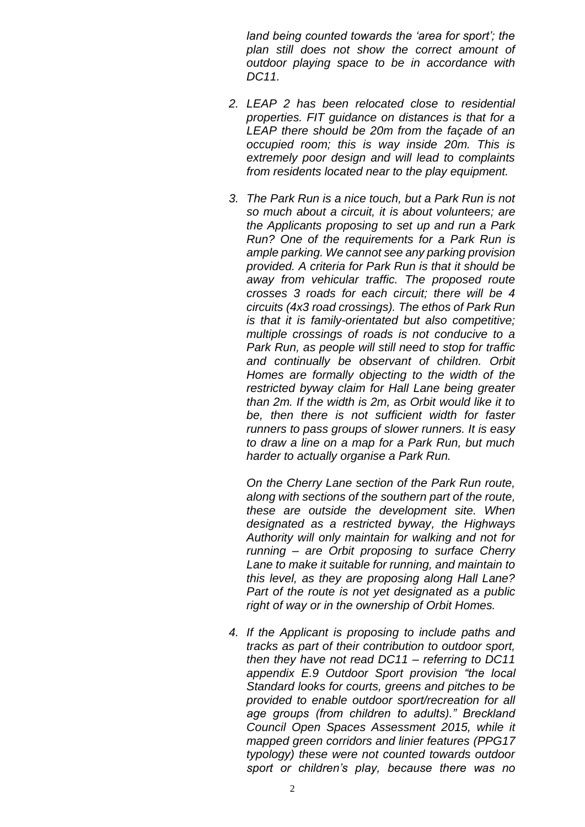*land being counted towards the 'area for sport'; the plan still does not show the correct amount of outdoor playing space to be in accordance with DC11.* 

- *2. LEAP 2 has been relocated close to residential properties. FIT guidance on distances is that for a LEAP there should be 20m from the façade of an occupied room; this is way inside 20m. This is extremely poor design and will lead to complaints from residents located near to the play equipment.*
- *3. The Park Run is a nice touch, but a Park Run is not so much about a circuit, it is about volunteers; are the Applicants proposing to set up and run a Park Run? One of the requirements for a Park Run is ample parking. We cannot see any parking provision provided. A criteria for Park Run is that it should be away from vehicular traffic. The proposed route crosses 3 roads for each circuit; there will be 4 circuits (4x3 road crossings). The ethos of Park Run is that it is family-orientated but also competitive; multiple crossings of roads is not conducive to a Park Run, as people will still need to stop for traffic and continually be observant of children. Orbit Homes are formally objecting to the width of the restricted byway claim for Hall Lane being greater than 2m. If the width is 2m, as Orbit would like it to be, then there is not sufficient width for faster runners to pass groups of slower runners. It is easy to draw a line on a map for a Park Run, but much harder to actually organise a Park Run.*

*On the Cherry Lane section of the Park Run route, along with sections of the southern part of the route, these are outside the development site. When designated as a restricted byway, the Highways Authority will only maintain for walking and not for running – are Orbit proposing to surface Cherry Lane to make it suitable for running, and maintain to this level, as they are proposing along Hall Lane? Part of the route is not yet designated as a public right of way or in the ownership of Orbit Homes.* 

*4. If the Applicant is proposing to include paths and tracks as part of their contribution to outdoor sport, then they have not read DC11 – referring to DC11 appendix E.9 Outdoor Sport provision "the local Standard looks for courts, greens and pitches to be provided to enable outdoor sport/recreation for all age groups (from children to adults)." Breckland Council Open Spaces Assessment 2015, while it mapped green corridors and linier features (PPG17 typology) these were not counted towards outdoor sport or children's play, because there was no*